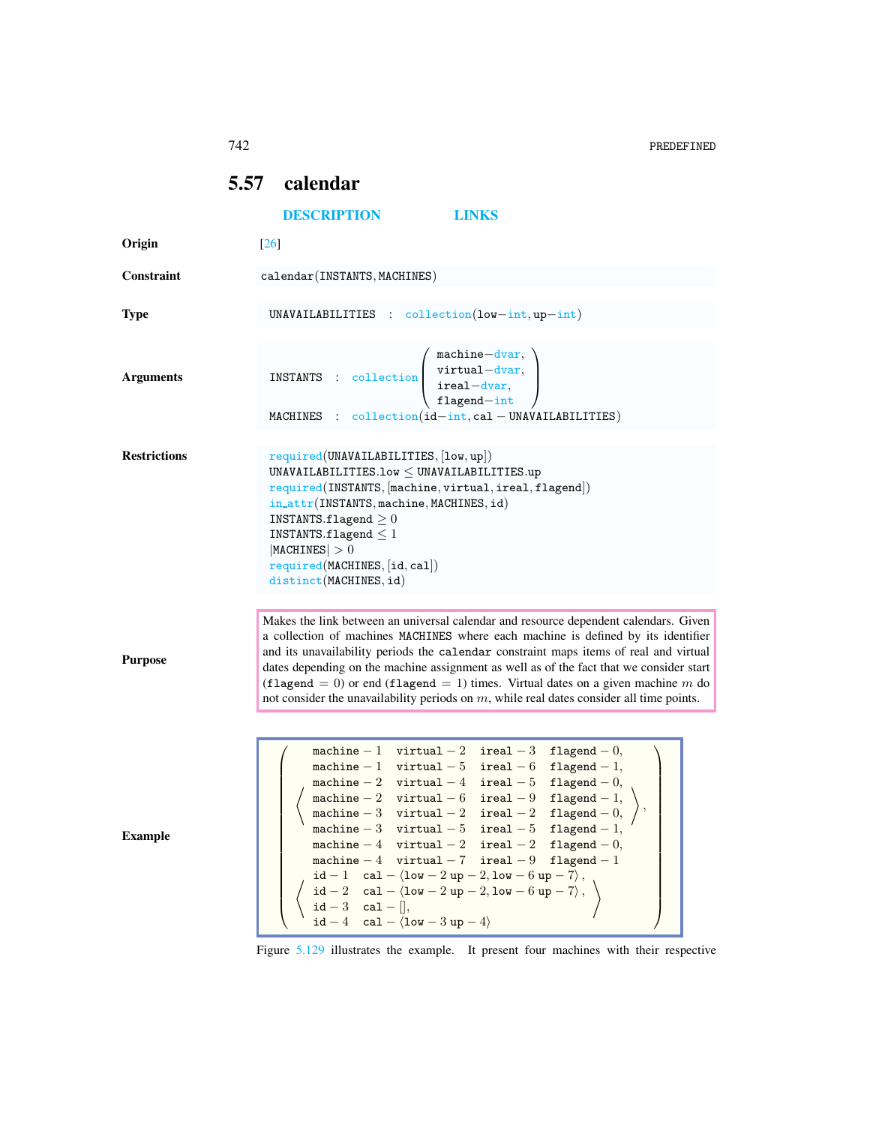742 PREDEFINED

## <span id="page-0-0"></span>5.57 calendar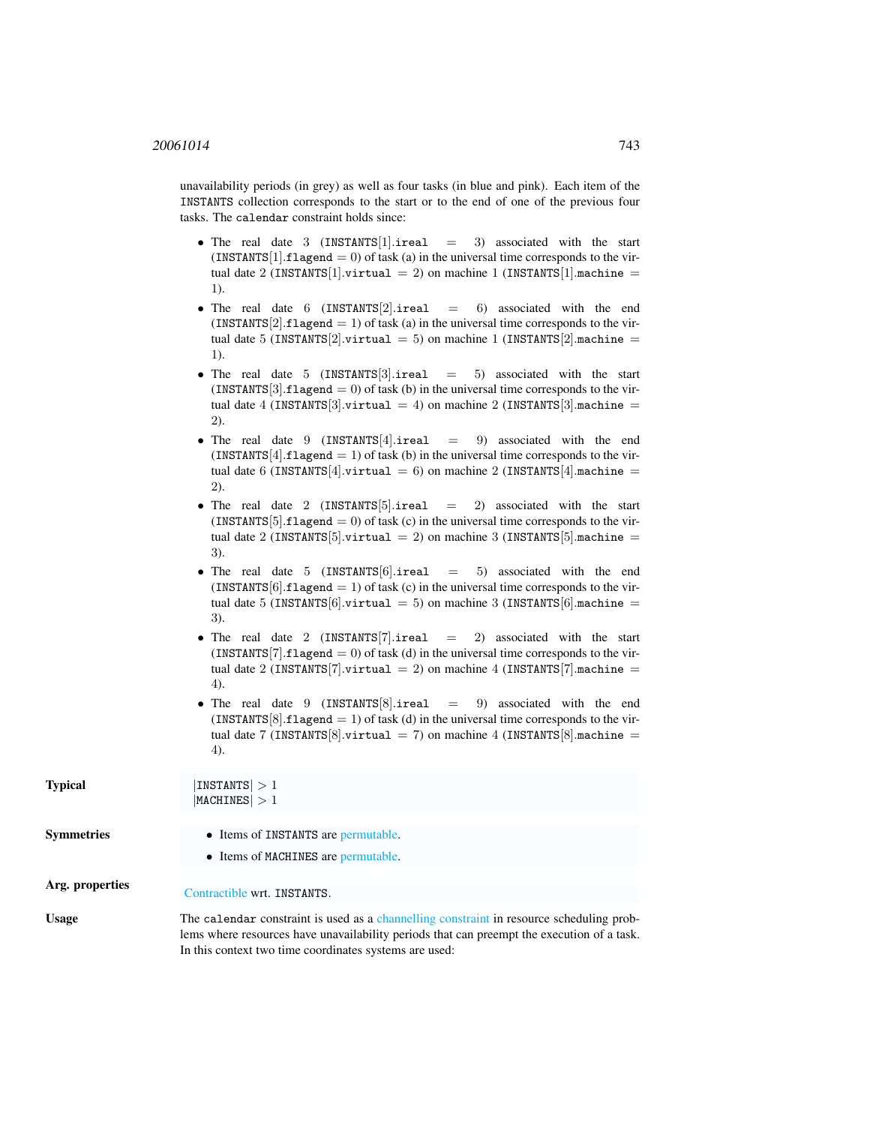unavailability periods (in grey) as well as four tasks (in blue and pink). Each item of the INSTANTS collection corresponds to the start or to the end of one of the previous four tasks. The calendar constraint holds since:

- The real date 3  $(INSTANTS[1].\text{ireal} = 3)$  associated with the start  $(INSTANTS[1].flagend = 0)$  of task (a) in the universal time corresponds to the virtual date 2 (INSTANTS[1].virtual = 2) on machine 1 (INSTANTS[1].machine = 1).
- The real date 6  $(INSTANTS[2].\text{ireal} = 6)$  associated with the end (INSTANTS $[2]$ .flagend = 1) of task (a) in the universal time corresponds to the virtual date 5 (INSTANTS[2].virtual = 5) on machine 1 (INSTANTS[2].machine = 1).
- The real date 5  $(INSTANTS[3].\text{ireal} = 5)$  associated with the start  $(INSTANTS[3].flagend = 0)$  of task (b) in the universal time corresponds to the virtual date 4 (INSTANTS[3].virtual = 4) on machine 2 (INSTANTS[3].machine = 2).
- The real date 9  $(INSTANTS[4].\text{ireal} = 9)$  associated with the end  $(INSTANTS[4].flagend = 1)$  of task (b) in the universal time corresponds to the virtual date 6 (INSTANTS[4].virtual = 6) on machine 2 (INSTANTS[4].machine = 2).
- The real date 2  $(INSTANTS[5].\text{ireal} = 2)$  associated with the start  $(INSTANTS[5].flagend = 0)$  of task (c) in the universal time corresponds to the virtual date 2 (INSTANTS[5].virtual = 2) on machine 3 (INSTANTS[5].machine = 3).
- The real date 5  $(INSTANTS[6].\text{ireal} = 5)$  associated with the end  $(INSTANTS[6].flagend = 1)$  of task (c) in the universal time corresponds to the virtual date 5 (INSTANTS[6].virtual = 5) on machine 3 (INSTANTS[6].machine = 3).
- The real date 2 (INSTANTS[7].ireal  $=$  2) associated with the start  $(INSTANTS[7].flagend = 0)$  of task (d) in the universal time corresponds to the virtual date 2 (INSTANTS[7].virtual = 2) on machine 4 (INSTANTS[7].machine = 4).
- The real date 9  $(INSTANTS[8].\text{ireal} = 9)$  associated with the end  $(INSTANTS[8].flagend = 1)$  of task (d) in the universal time corresponds to the virtual date 7 (INSTANTS [8].virtual = 7) on machine 4 (INSTANTS [8].machine = 4).

| <b>Typical</b>    | INTS  > 1<br> MACHINES  > 1                                                                                                                                                                                                                      |  |
|-------------------|--------------------------------------------------------------------------------------------------------------------------------------------------------------------------------------------------------------------------------------------------|--|
| <b>Symmetries</b> | • Items of INSTANTS are permutable.<br>• Items of MACHINES are permutable.                                                                                                                                                                       |  |
| Arg. properties   | Contractible wrt. INSTANTS.                                                                                                                                                                                                                      |  |
| <b>Usage</b>      | The calendar constraint is used as a channelling constraint in resource scheduling prob-<br>lems where resources have unavailability periods that can preempt the execution of a task.<br>In this context two time coordinates systems are used: |  |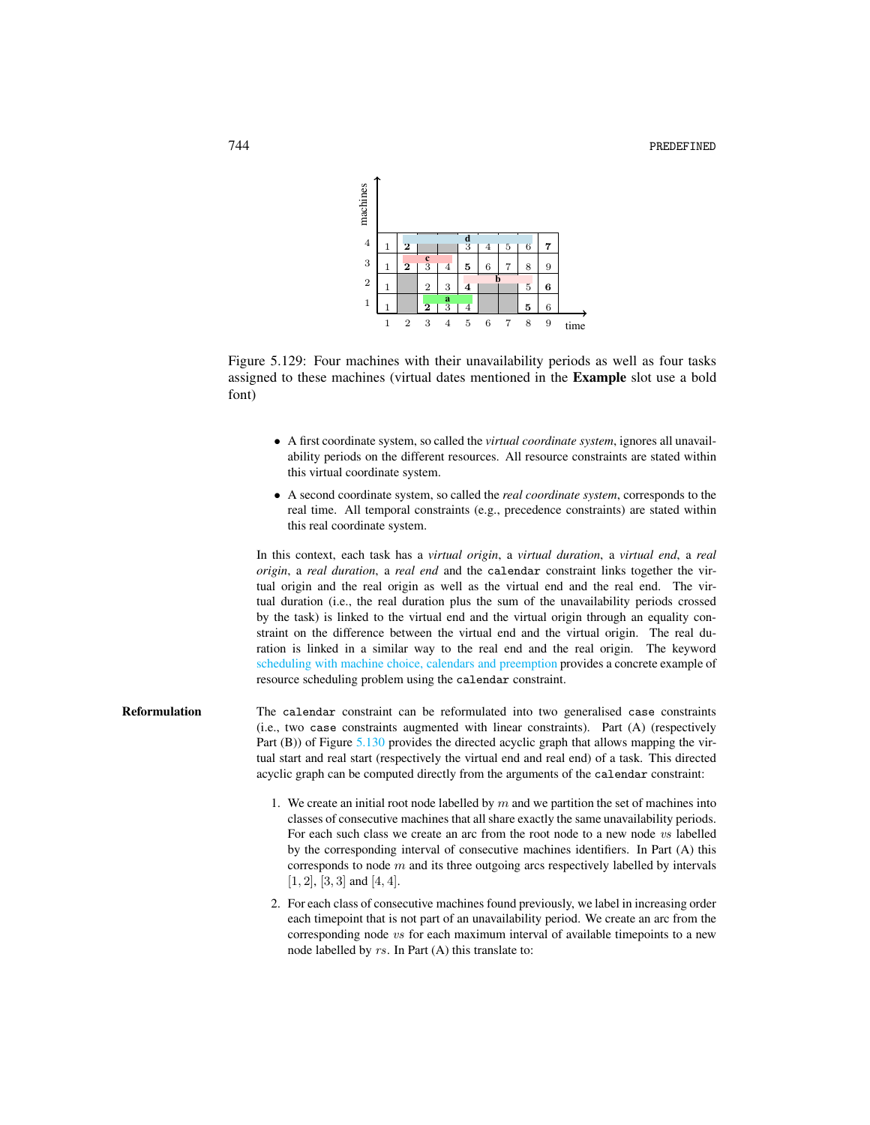

Figure 5.129: Four machines with their unavailability periods as well as four tasks assigned to these machines (virtual dates mentioned in the Example slot use a bold font)

- <span id="page-2-0"></span>• A first coordinate system, so called the *virtual coordinate system*, ignores all unavailability periods on the different resources. All resource constraints are stated within this virtual coordinate system.
- A second coordinate system, so called the *real coordinate system*, corresponds to the real time. All temporal constraints (e.g., precedence constraints) are stated within this real coordinate system.

In this context, each task has a *virtual origin*, a *virtual duration*, a *virtual end*, a *real origin*, a *real duration*, a *real end* and the calendar constraint links together the virtual origin and the real origin as well as the virtual end and the real end. The virtual duration (i.e., the real duration plus the sum of the unavailability periods crossed by the task) is linked to the virtual end and the virtual origin through an equality constraint on the difference between the virtual end and the virtual origin. The real duration is linked in a similar way to the real end and the real origin. The keyword scheduling with machine choice, calendars and preemption provides a concrete example of resource scheduling problem using the calendar constraint.

- Reformulation The calendar constraint can be reformulated into two generalised case constraints (i.e., two case constraints augmented with linear constraints). Part (A) (respectively Part (B)) of Figure [5.130](#page-5-0) provides the directed acyclic graph that allows mapping the virtual start and real start (respectively the virtual end and real end) of a task. This directed acyclic graph can be computed directly from the arguments of the calendar constraint:
	- 1. We create an initial root node labelled by  $m$  and we partition the set of machines into classes of consecutive machines that all share exactly the same unavailability periods. For each such class we create an arc from the root node to a new node vs labelled by the corresponding interval of consecutive machines identifiers. In Part (A) this corresponds to node  $m$  and its three outgoing arcs respectively labelled by intervals  $[1, 2]$ ,  $[3, 3]$  and  $[4, 4]$ .
	- 2. For each class of consecutive machines found previously, we label in increasing order each timepoint that is not part of an unavailability period. We create an arc from the corresponding node vs for each maximum interval of available timepoints to a new node labelled by rs. In Part (A) this translate to: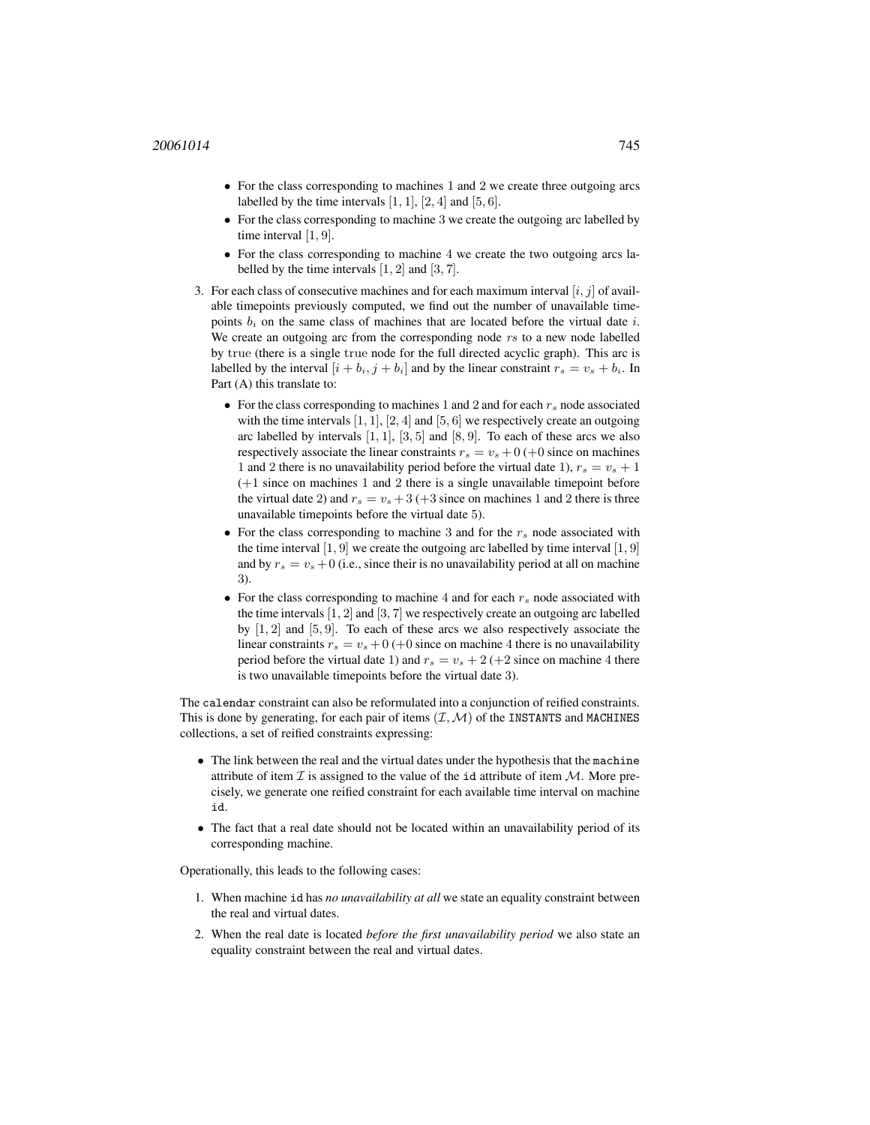- For the class corresponding to machines 1 and 2 we create three outgoing arcs labelled by the time intervals  $[1, 1]$ ,  $[2, 4]$  and  $[5, 6]$ .
- For the class corresponding to machine 3 we create the outgoing arc labelled by time interval [1, 9].
- For the class corresponding to machine 4 we create the two outgoing arcs labelled by the time intervals [1, 2] and [3, 7].
- 3. For each class of consecutive machines and for each maximum interval  $[i, j]$  of available timepoints previously computed, we find out the number of unavailable timepoints  $b_i$  on the same class of machines that are located before the virtual date i. We create an outgoing arc from the corresponding node rs to a new node labelled by true (there is a single true node for the full directed acyclic graph). This arc is labelled by the interval  $[i + b_i, j + b_i]$  and by the linear constraint  $r_s = v_s + b_i$ . In Part (A) this translate to:
	- For the class corresponding to machines 1 and 2 and for each  $r_s$  node associated with the time intervals  $[1, 1]$ ,  $[2, 4]$  and  $[5, 6]$  we respectively create an outgoing arc labelled by intervals  $[1, 1]$ ,  $[3, 5]$  and  $[8, 9]$ . To each of these arcs we also respectively associate the linear constraints  $r_s = v_s + 0$  (+0 since on machines 1 and 2 there is no unavailability period before the virtual date 1),  $r_s = v_s + 1$ (+1 since on machines 1 and 2 there is a single unavailable timepoint before the virtual date 2) and  $r_s = v_s + 3 + 3$  (+3 since on machines 1 and 2 there is three unavailable timepoints before the virtual date 5).
	- For the class corresponding to machine 3 and for the  $r_s$  node associated with the time interval  $[1, 9]$  we create the outgoing arc labelled by time interval  $[1, 9]$ and by  $r_s = v_s + 0$  (i.e., since their is no unavailability period at all on machine 3).
	- For the class corresponding to machine 4 and for each  $r_s$  node associated with the time intervals [1, 2] and [3, 7] we respectively create an outgoing arc labelled by [1, 2] and [5, 9]. To each of these arcs we also respectively associate the linear constraints  $r_s = v_s + 0$  (+0 since on machine 4 there is no unavailability period before the virtual date 1) and  $r_s = v_s + 2 (+2 \text{ since on machine 4 there})$ is two unavailable timepoints before the virtual date 3).

The calendar constraint can also be reformulated into a conjunction of reified constraints. This is done by generating, for each pair of items  $(\mathcal{I},\mathcal{M})$  of the INSTANTS and MACHINES collections, a set of reified constraints expressing:

- The link between the real and the virtual dates under the hypothesis that the machine attribute of item  $\mathcal I$  is assigned to the value of the id attribute of item  $\mathcal M$ . More precisely, we generate one reified constraint for each available time interval on machine id.
- The fact that a real date should not be located within an unavailability period of its corresponding machine.

Operationally, this leads to the following cases:

- 1. When machine id has *no unavailability at all* we state an equality constraint between the real and virtual dates.
- 2. When the real date is located *before the first unavailability period* we also state an equality constraint between the real and virtual dates.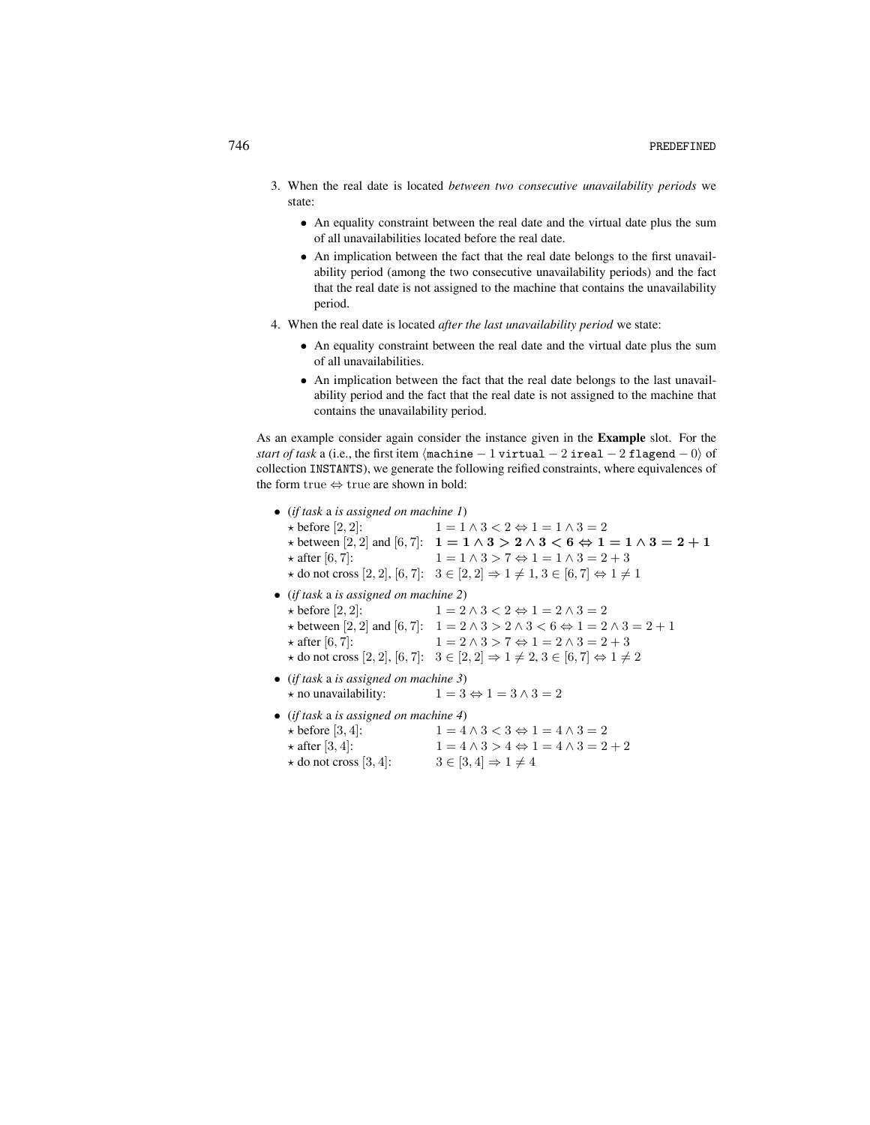- 3. When the real date is located *between two consecutive unavailability periods* we state:
	- An equality constraint between the real date and the virtual date plus the sum of all unavailabilities located before the real date.
	- An implication between the fact that the real date belongs to the first unavailability period (among the two consecutive unavailability periods) and the fact that the real date is not assigned to the machine that contains the unavailability period.
- 4. When the real date is located *after the last unavailability period* we state:
	- An equality constraint between the real date and the virtual date plus the sum of all unavailabilities.
	- An implication between the fact that the real date belongs to the last unavailability period and the fact that the real date is not assigned to the machine that contains the unavailability period.

As an example consider again consider the instance given in the Example slot. For the *start of task* a (i.e., the first item  $\langle$ machine − 1 virtual − 2 ireal − 2 flagend − 0) of collection INSTANTS), we generate the following reified constraints, where equivalences of the form true ⇔ true are shown in bold:

| • (if task a is assigned on machine $I$ )<br>$\star$ before [2, 2]:<br>$\star$ after [6, 7]:                                                                  | $1 = 1 \wedge 3 < 2 \Leftrightarrow 1 = 1 \wedge 3 = 2$<br>$\star$ between [2, 2] and [6, 7]: $1 = 1 \wedge 3 > 2 \wedge 3 < 6 \Leftrightarrow 1 = 1 \wedge 3 = 2 + 1$<br>$1 = 1 \wedge 3 > 7 \Leftrightarrow 1 = 1 \wedge 3 = 2 + 3$<br>$\star$ do not cross [2, 2], [6, 7]: $3 \in [2, 2] \Rightarrow 1 \neq 1, 3 \in [6, 7] \Leftrightarrow 1 \neq 1$ |
|---------------------------------------------------------------------------------------------------------------------------------------------------------------|----------------------------------------------------------------------------------------------------------------------------------------------------------------------------------------------------------------------------------------------------------------------------------------------------------------------------------------------------------|
| • (if task a is assigned on machine 2)<br>$\star$ before [2, 2]:<br>$\star$ after [6, 7]:                                                                     | $1 = 2 \wedge 3 < 2 \Leftrightarrow 1 = 2 \wedge 3 = 2$<br>$\star$ between [2, 2] and [6, 7]: $1 = 2 \land 3 > 2 \land 3 < 6 \Leftrightarrow 1 = 2 \land 3 = 2 + 1$<br>$1 = 2 \wedge 3 > 7 \Leftrightarrow 1 = 2 \wedge 3 = 2 + 3$<br>* do not cross [2, 2], [6, 7]: $3 \in [2, 2] \Rightarrow 1 \neq 2, 3 \in [6, 7] \Leftrightarrow 1 \neq 2$          |
| • (if task a is assigned on machine 3)<br>$\star$ no unavailability:                                                                                          | $1 = 3 \Leftrightarrow 1 = 3 \wedge 3 = 2$                                                                                                                                                                                                                                                                                                               |
| • (if task a is assigned on machine 4)<br>$\star$ before [3, 4]:<br>$\star$ after [3, 4]:<br>$\star$ do not cross [3, 4]: $3 \in [3, 4] \Rightarrow 1 \neq 4$ | $1 = 4 \wedge 3 < 3 \Leftrightarrow 1 = 4 \wedge 3 = 2$<br>$1 = 4 \wedge 3 > 4 \Leftrightarrow 1 = 4 \wedge 3 = 2 + 2$                                                                                                                                                                                                                                   |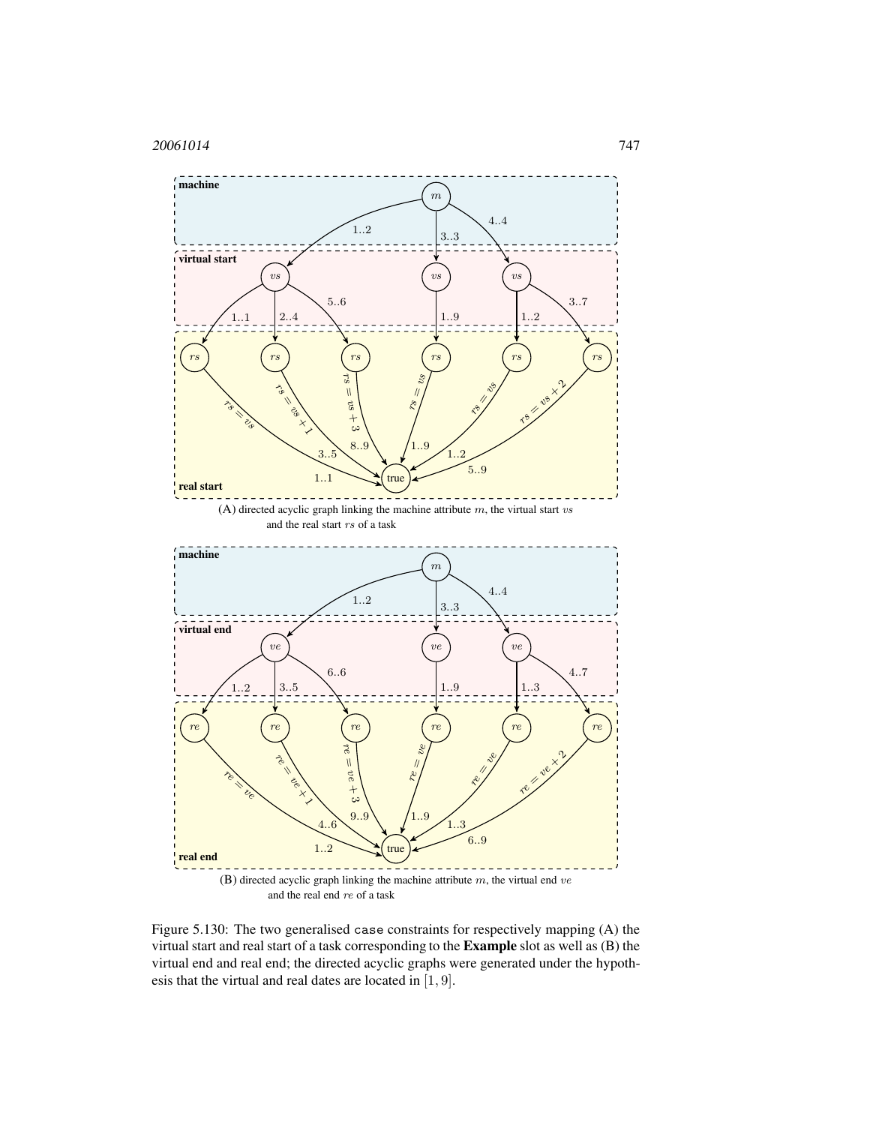

<span id="page-5-0"></span>Figure 5.130: The two generalised case constraints for respectively mapping (A) the virtual start and real start of a task corresponding to the Example slot as well as (B) the virtual end and real end; the directed acyclic graphs were generated under the hypothesis that the virtual and real dates are located in [1, 9].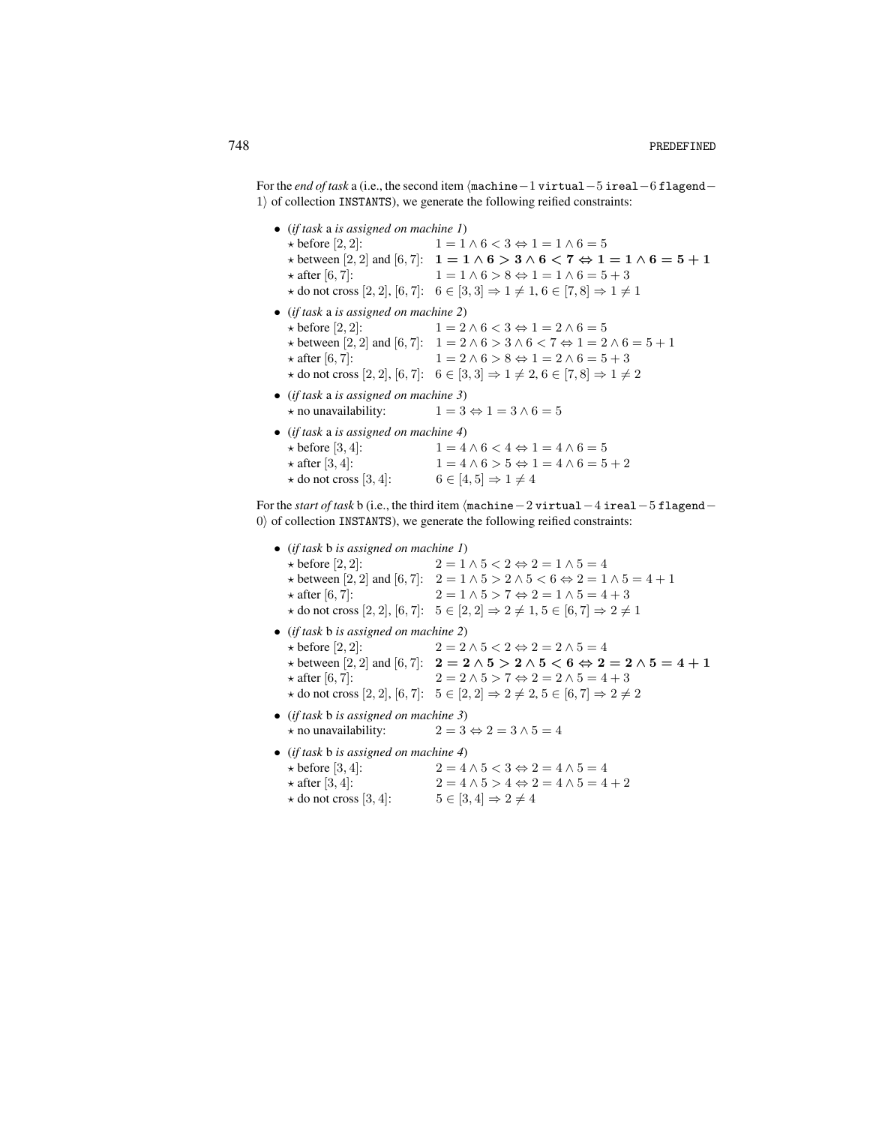For the *end of task* a (i.e., the second item  $\langle$ machine−1 virtual-5 ireal-6 flagend–  $1$ ) of collection INSTANTS), we generate the following reified constraints:

| • (if task a is assigned on machine $I$ )                                                                          |  |  |
|--------------------------------------------------------------------------------------------------------------------|--|--|
| $1 = 1 \wedge 6 < 3 \Leftrightarrow 1 = 1 \wedge 6 = 5$                                                            |  |  |
| * between [2, 2] and [6, 7]: $1 = 1 \wedge 6 > 3 \wedge 6 < 7 \Leftrightarrow 1 = 1 \wedge 6 = 5 + 1$              |  |  |
| $1 = 1 \wedge 6 > 8 \Leftrightarrow 1 = 1 \wedge 6 = 5 + 3$                                                        |  |  |
| $\star$ do not cross [2, 2], [6, 7]: $6 \in [3,3] \Rightarrow 1 \neq 1, 6 \in [7,8] \Rightarrow 1 \neq 1$          |  |  |
| • (if task a is assigned on machine 2)                                                                             |  |  |
| $1 = 2 \wedge 6 < 3 \Leftrightarrow 1 = 2 \wedge 6 = 5$                                                            |  |  |
| $\star$ between [2, 2] and [6, 7]: $1 = 2 \land 6 > 3 \land 6 < 7 \Leftrightarrow 1 = 2 \land 6 = 5 + 1$           |  |  |
| $1 = 2 \wedge 6 > 8 \Leftrightarrow 1 = 2 \wedge 6 = 5 + 3$                                                        |  |  |
| * do not cross [2, 2], [6, 7]: $6 \in [3,3] \Rightarrow 1 \neq 2, 6 \in [7,8] \Rightarrow 1 \neq 2$                |  |  |
| • (if task a is assigned on machine 3)                                                                             |  |  |
| $1 = 3 \Leftrightarrow 1 = 3 \wedge 6 = 5$                                                                         |  |  |
| • (if task a is assigned on machine 4)                                                                             |  |  |
| $1 = 4 \wedge 6 < 4 \Leftrightarrow 1 = 4 \wedge 6 = 5$                                                            |  |  |
| $1 = 4 \land 6 > 5 \Leftrightarrow 1 = 4 \land 6 = 5 + 2$                                                          |  |  |
| $6 \in [4, 5] \Rightarrow 1 \neq 4$<br>$\star$ do not cross [3, 4]:                                                |  |  |
| For the <i>start of task b</i> (i.e., the third item $\langle$ machine $-$ 2 virtual $-$ 4 ireal $-$ 5 flagend $-$ |  |  |
|                                                                                                                    |  |  |

0) of collection INSTANTS), we generate the following reified constraints:

| • (if task b is assigned on machine 1)                           |                                                                                                             |  |
|------------------------------------------------------------------|-------------------------------------------------------------------------------------------------------------|--|
| $\star$ before [2, 2]:                                           | $2 = 1 \wedge 5 < 2 \Leftrightarrow 2 = 1 \wedge 5 = 4$                                                     |  |
|                                                                  | $\star$ between [2, 2] and [6, 7]: $2 = 1 \land 5 > 2 \land 5 < 6 \Leftrightarrow 2 = 1 \land 5 = 4 + 1$    |  |
| $\star$ after [6, 7]:                                            | $2 = 1 \wedge 5 > 7 \Leftrightarrow 2 = 1 \wedge 5 = 4 + 3$                                                 |  |
|                                                                  | * do not cross [2, 2], [6, 7]: $5 \in [2, 2] \Rightarrow 2 \neq 1, 5 \in [6, 7] \Rightarrow 2 \neq 1$       |  |
| $\bullet$ (if task b is assigned on machine 2)                   |                                                                                                             |  |
| $\star$ before [2, 2]:                                           | $2 = 2 \wedge 5 < 2 \Leftrightarrow 2 = 2 \wedge 5 = 4$                                                     |  |
|                                                                  | $\star$ between [2, 2] and [6, 7]: $2 = 2 \wedge 5 > 2 \wedge 5 < 6 \Leftrightarrow 2 = 2 \wedge 5 = 4 + 1$ |  |
| $\star$ after [6, 7]:                                            | $2 = 2 \wedge 5 > 7 \Leftrightarrow 2 = 2 \wedge 5 = 4 + 3$                                                 |  |
|                                                                  | * do not cross [2, 2], [6, 7]: $5 \in [2, 2] \Rightarrow 2 \neq 2, 5 \in [6, 7] \Rightarrow 2 \neq 2$       |  |
| • (if task b is assigned on machine 3)                           |                                                                                                             |  |
| $\star$ no unavailability:                                       | $2 = 3 \Leftrightarrow 2 = 3 \wedge 5 = 4$                                                                  |  |
| • (if task b is assigned on machine 4)                           |                                                                                                             |  |
| $\star$ before [3, 4]:                                           | $2 = 4 \wedge 5 < 3 \Leftrightarrow 2 = 4 \wedge 5 = 4$                                                     |  |
| $\star$ after [3, 4]:                                            | $2 = 4 \wedge 5 > 4 \Leftrightarrow 2 = 4 \wedge 5 = 4 + 2$                                                 |  |
| $\star$ do not cross [3, 4]: $5 \in [3, 4] \Rightarrow 2 \neq 4$ |                                                                                                             |  |
|                                                                  |                                                                                                             |  |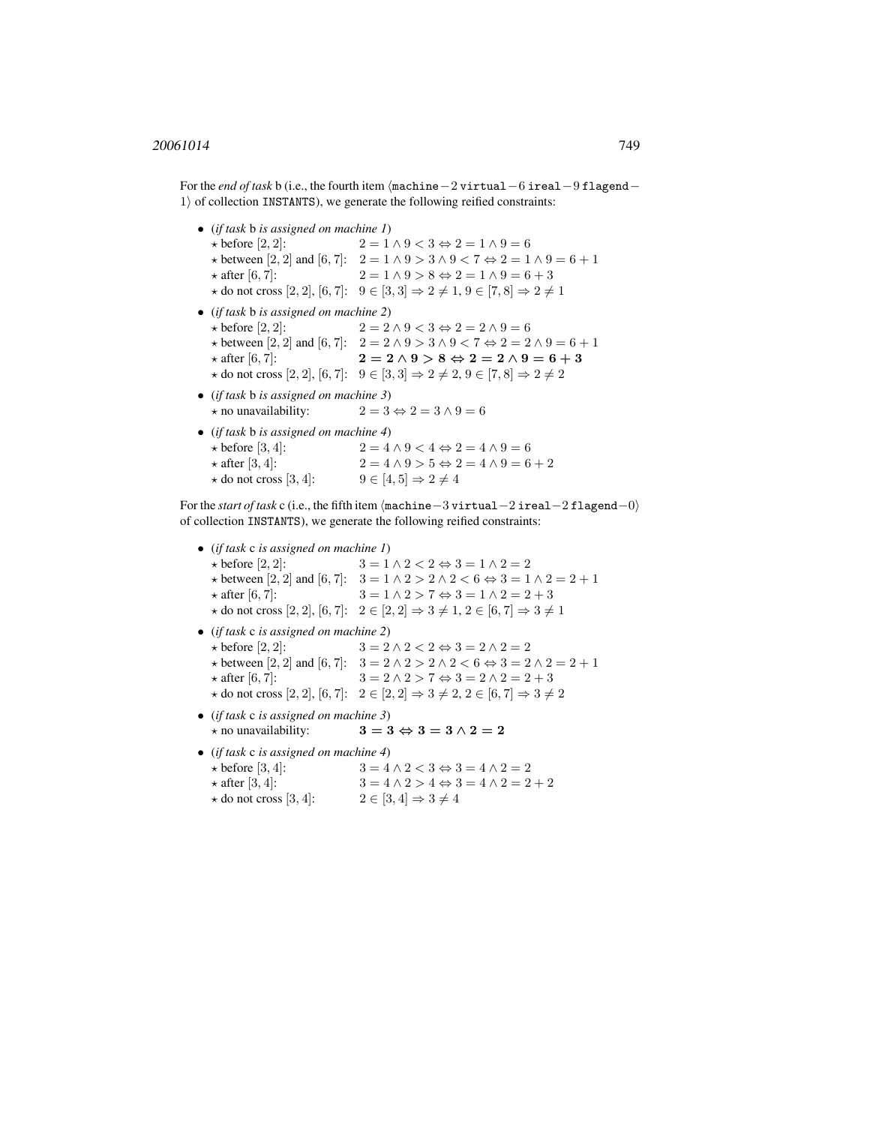For the *end of task* b (i.e., the fourth item  $\sqrt{\text{machine}-2 \text{virtual}-6 \text{ireal}-9 \text{flagend}-1}$  $1$ ) of collection INSTANTS), we generate the following reified constraints:

• (*if task* b *is assigned on machine 1*)  $\star$  before [2, 2]:  $2 = 1 \wedge 9 < 3 \Leftrightarrow 2 = 1 \wedge 9 = 6$  $\star$  between [2, 2] and [6, 7]:  $2 = 1 \land 9 > 3 \land 9 < 7 \Leftrightarrow 2 = 1 \land 9 = 6 + 1$  $\star$  after [6, 7]:  $2 = 1 \land 9 > 8 \Leftrightarrow 2 = 1 \land 9 = 6 + 3$  $\star$  do not cross [2, 2], [6, 7]:  $9 \in [3, 3] \Rightarrow 2 \neq 1, 9 \in [7, 8] \Rightarrow 2 \neq 1$ • (*if task* b *is assigned on machine 2*)  $\star$  before [2, 2]:  $2 = 2 \land 9 < 3 \Leftrightarrow 2 = 2 \land 9 = 6$  $\star$  between [2, 2] and [6, 7]: 2 = 2 ∧ 9 > 3 ∧ 9 < 7 ⇔ 2 = 2 ∧ 9 = 6 + 1  $\star$  after [6, 7]: 2 = 2 ∧ 9 > 8 ⇔ 2 = 2 ∧ 9 = 6 + 3  $\star$  do not cross [2, 2], [6, 7]: 9 ∈ [3, 3]  $\Rightarrow$  2 ≠ 2, 9 ∈ [7, 8]  $\Rightarrow$  2 ≠ 2 • (*if task* b *is assigned on machine 3*)  $\star$  no unavailability:  $2 = 3 \Leftrightarrow 2 = 3 \wedge 9 = 6$ • (*if task* b *is assigned on machine 4*)  $\star$  before [3, 4]:  $2 = 4 \land 9 < 4 \Leftrightarrow 2 = 4 \land 9 = 6$  $\star$  after [3, 4]:  $2 = 4 \land 9 > 5 \Leftrightarrow 2 = 4 \land 9 = 6 + 2$  $\star$  do not cross [3, 4]:  $9 \in [4, 5] \Rightarrow 2 \neq 4$ 

For the *start of task* c (i.e., the fifth item hmachine−3 virtual−2 ireal−2 flagend−0i of collection INSTANTS), we generate the following reified constraints:

• (*if task* c *is assigned on machine 1*)  $\star$  before [2, 2]:  $3 = 1 \land 2 < 2 \Leftrightarrow 3 = 1 \land 2 = 2$  $\star$  between [2, 2] and [6, 7]:  $3 = 1 \land 2 > 2 \land 2 < 6 \Leftrightarrow 3 = 1 \land 2 = 2 + 1$  $\star$  after [6, 7]:  $3 = 1 \land 2 > 7 \Leftrightarrow 3 = 1 \land 2 = 2 + 3$  $\star$  do not cross [2, 2], [6, 7]:  $2 \in [2, 2] \Rightarrow 3 \neq 1, 2 \in [6, 7] \Rightarrow 3 \neq 1$ • (*if task* c *is assigned on machine 2*)  $\star$  before [2, 2]:  $3 = 2 \land 2 < 2 \Leftrightarrow 3 = 2 \land 2 = 2$  $\star$  between [2, 2] and [6, 7]:  $3 = 2 \land 2 > 2 \land 2 < 6 \Leftrightarrow 3 = 2 \land 2 = 2 + 1$  $\star$  after [6, 7]:  $3 = 2 \land 2 > 7 \Leftrightarrow 3 = 2 \land 2 = 2 + 3$  $\star$  do not cross [2, 2], [6, 7]:  $2 \in [2, 2] \Rightarrow 3 \neq 2, 2 \in [6, 7] \Rightarrow 3 \neq 2$ • (*if task* c *is assigned on machine 3*)  $\star$  no unavailability:  $3 = 3 \Leftrightarrow 3 = 3 \wedge 2 = 2$ • (*if task* c *is assigned on machine 4*)  $\star$  before [3, 4]:  $3 = 4 \land 2 < 3 \Leftrightarrow 3 = 4 \land 2 = 2$  $\star$  after [3, 4]:  $3 = 4 \land 2 > 4 \Leftrightarrow 3 = 4 \land 2 = 2 + 2$  $\star$  do not cross [3, 4]:  $2 \in [3, 4] \Rightarrow 3 \neq 4$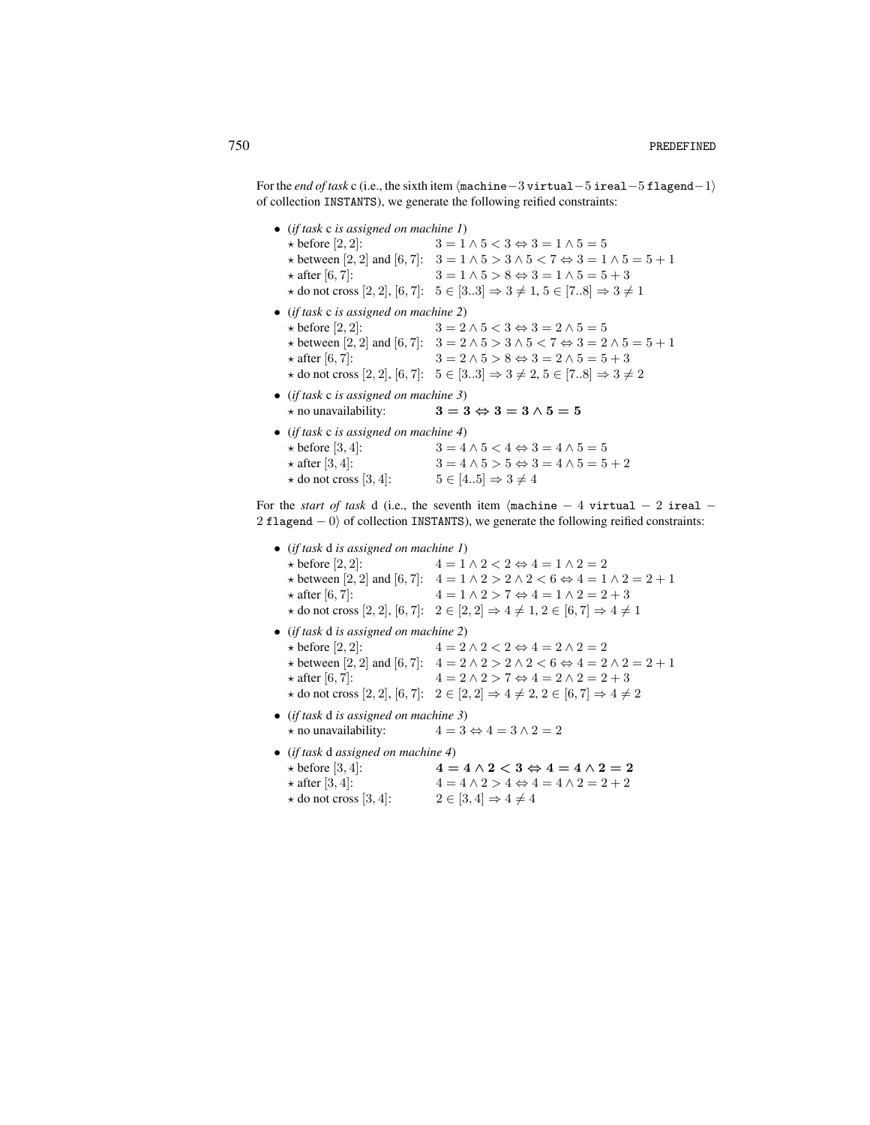For the *end of task* c (i.e., the sixth item  $\langle$ machine−3 virtual–5 ireal–5 flagend–1) of collection INSTANTS), we generate the following reified constraints:

| • (if task $c$ is assigned on machine $I$ ) |                                                                                                          |  |
|---------------------------------------------|----------------------------------------------------------------------------------------------------------|--|
| $\star$ before [2, 2]:                      | $3 = 1 \wedge 5 < 3 \Leftrightarrow 3 = 1 \wedge 5 = 5$                                                  |  |
|                                             | $\star$ between [2, 2] and [6, 7]: $3 = 1 \land 5 > 3 \land 5 < 7 \Leftrightarrow 3 = 1 \land 5 = 5 + 1$ |  |
| $\star$ after [6, 7]:                       | $3 = 1 \wedge 5 > 8 \Leftrightarrow 3 = 1 \wedge 5 = 5 + 3$                                              |  |
|                                             | * do not cross [2, 2], [6, 7]: $5 \in [33] \Rightarrow 3 \neq 1, 5 \in [78] \Rightarrow 3 \neq 1$        |  |
| • (if task c is assigned on machine 2)      |                                                                                                          |  |
| $\star$ before [2, 2]:                      | $3 = 2 \wedge 5 < 3 \Leftrightarrow 3 = 2 \wedge 5 = 5$                                                  |  |
|                                             | * between [2, 2] and [6, 7]: $3 = 2 \land 5 > 3 \land 5 < 7 \Leftrightarrow 3 = 2 \land 5 = 5 + 1$       |  |
| $\star$ after [6, 7]:                       | $3 = 2 \wedge 5 > 8 \Leftrightarrow 3 = 2 \wedge 5 = 5 + 3$                                              |  |
|                                             | $\star$ do not cross [2, 2], [6, 7]: $5 \in [33] \Rightarrow 3 \neq 2, 5 \in [78] \Rightarrow 3 \neq 2$  |  |
| • (if task c is assigned on machine 3)      |                                                                                                          |  |
|                                             | $\star$ no unavailability: $3 = 3 \Leftrightarrow 3 = 3 \wedge 5 = 5$                                    |  |
| • (if task $c$ is assigned on machine 4)    |                                                                                                          |  |
| $\star$ before [3, 4]:                      | $3 = 4 \wedge 5 < 4 \Leftrightarrow 3 = 4 \wedge 5 = 5$                                                  |  |
| $\star$ after [3, 4]:                       | $3 = 4 \wedge 5 > 5 \Leftrightarrow 3 = 4 \wedge 5 = 5 + 2$                                              |  |
| $\star$ do not cross [3, 4]:                | $5 \in [45] \Rightarrow 3 \neq 4$                                                                        |  |

For the *start of task* d (i.e., the seventh item  $\langle$ machine − 4 virtual − 2 ireal − 2 flagend  $-0$ ) of collection INSTANTS), we generate the following reified constraints:

| • (if task d is assigned on machine 1) |                                                                                                             |                                            |                                                             |  |
|----------------------------------------|-------------------------------------------------------------------------------------------------------------|--------------------------------------------|-------------------------------------------------------------|--|
| $\star$ before [2, 2]:                 |                                                                                                             |                                            | $4 = 1 \wedge 2 < 2 \Leftrightarrow 4 = 1 \wedge 2 = 2$     |  |
|                                        | $\star$ between [2, 2] and [6, 7]: $4 = 1 \wedge 2 > 2 \wedge 2 < 6 \Leftrightarrow 4 = 1 \wedge 2 = 2 + 1$ |                                            |                                                             |  |
| $\star$ after [6, 7]:                  |                                                                                                             |                                            | $4 = 1 \wedge 2 > 7 \Leftrightarrow 4 = 1 \wedge 2 = 2 + 3$ |  |
|                                        | * do not cross [2, 2], [6, 7]: $2 \in [2, 2] \Rightarrow 4 \neq 1, 2 \in [6, 7] \Rightarrow 4 \neq 1$       |                                            |                                                             |  |
| • (if task d is assigned on machine 2) |                                                                                                             |                                            |                                                             |  |
| $\star$ before [2, 2]:                 |                                                                                                             |                                            | $4 = 2 \wedge 2 < 2 \Leftrightarrow 4 = 2 \wedge 2 = 2$     |  |
|                                        | $\star$ between [2, 2] and [6, 7]: $4 = 2 \land 2 > 2 \land 2 < 6 \Leftrightarrow 4 = 2 \land 2 = 2 + 1$    |                                            |                                                             |  |
| $\star$ after [6, 7]:                  |                                                                                                             |                                            | $4 = 2 \wedge 2 > 7 \Leftrightarrow 4 = 2 \wedge 2 = 2 + 3$ |  |
|                                        | $\star$ do not cross [2, 2], [6, 7]: $2 \in [2, 2] \Rightarrow 4 \neq 2, 2 \in [6, 7] \Rightarrow 4 \neq 2$ |                                            |                                                             |  |
| • (if task d is assigned on machine 3) |                                                                                                             |                                            |                                                             |  |
| $\star$ no unavailability:             |                                                                                                             | $4 = 3 \Leftrightarrow 4 = 3 \wedge 2 = 2$ |                                                             |  |
| • (if task d assigned on machine 4)    |                                                                                                             |                                            |                                                             |  |
| $\star$ before [3, 4]:                 |                                                                                                             |                                            | $4 = 4 \wedge 2 < 3 \Leftrightarrow 4 = 4 \wedge 2 = 2$     |  |
| $\star$ after [3, 4]:                  |                                                                                                             |                                            | $4 = 4 \wedge 2 > 4 \Leftrightarrow 4 = 4 \wedge 2 = 2 + 2$ |  |
| $\star$ do not cross [3, 4]:           |                                                                                                             | $2 \in [3, 4] \Rightarrow 4 \neq 4$        |                                                             |  |
|                                        |                                                                                                             |                                            |                                                             |  |